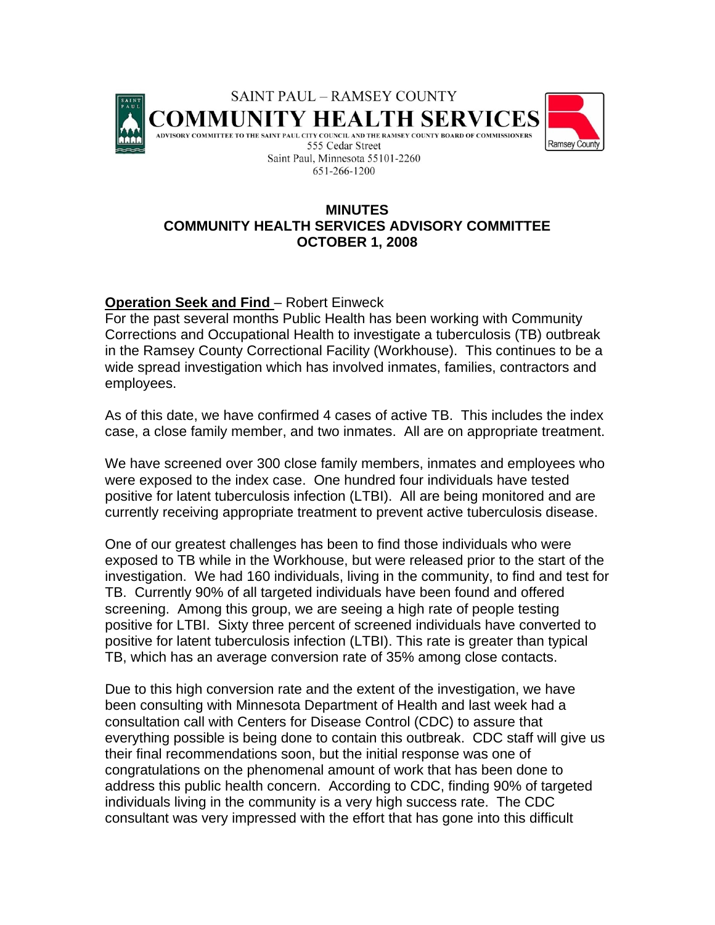

## **MINUTES COMMUNITY HEALTH SERVICES ADVISORY COMMITTEE OCTOBER 1, 2008**

## **Operation Seek and Find** – Robert Einweck

For the past several months Public Health has been working with Community Corrections and Occupational Health to investigate a tuberculosis (TB) outbreak in the Ramsey County Correctional Facility (Workhouse). This continues to be a wide spread investigation which has involved inmates, families, contractors and employees.

As of this date, we have confirmed 4 cases of active TB. This includes the index case, a close family member, and two inmates. All are on appropriate treatment.

We have screened over 300 close family members, inmates and employees who were exposed to the index case. One hundred four individuals have tested positive for latent tuberculosis infection (LTBI). All are being monitored and are currently receiving appropriate treatment to prevent active tuberculosis disease.

One of our greatest challenges has been to find those individuals who were exposed to TB while in the Workhouse, but were released prior to the start of the investigation. We had 160 individuals, living in the community, to find and test for TB. Currently 90% of all targeted individuals have been found and offered screening. Among this group, we are seeing a high rate of people testing positive for LTBI. Sixty three percent of screened individuals have converted to positive for latent tuberculosis infection (LTBI). This rate is greater than typical TB, which has an average conversion rate of 35% among close contacts.

Due to this high conversion rate and the extent of the investigation, we have been consulting with Minnesota Department of Health and last week had a consultation call with Centers for Disease Control (CDC) to assure that everything possible is being done to contain this outbreak. CDC staff will give us their final recommendations soon, but the initial response was one of congratulations on the phenomenal amount of work that has been done to address this public health concern. According to CDC, finding 90% of targeted individuals living in the community is a very high success rate. The CDC consultant was very impressed with the effort that has gone into this difficult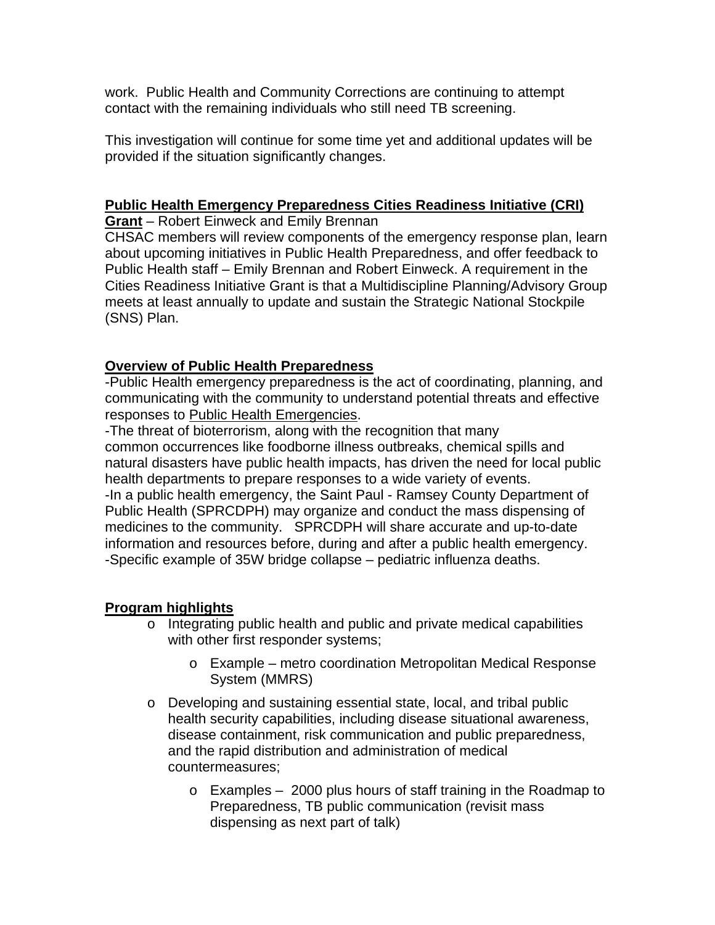work. Public Health and Community Corrections are continuing to attempt contact with the remaining individuals who still need TB screening.

This investigation will continue for some time yet and additional updates will be provided if the situation significantly changes.

### **Public Health Emergency Preparedness Cities Readiness Initiative (CRI)**

**Grant** – Robert Einweck and Emily Brennan

CHSAC members will review components of the emergency response plan, learn about upcoming initiatives in Public Health Preparedness, and offer feedback to Public Health staff – Emily Brennan and Robert Einweck. A requirement in the Cities Readiness Initiative Grant is that a Multidiscipline Planning/Advisory Group meets at least annually to update and sustain the Strategic National Stockpile (SNS) Plan.

## **Overview of Public Health Preparedness**

-Public Health emergency preparedness is the act of coordinating, planning, and communicating with the community to understand potential threats and effective responses to [Public Health Emergencies](http://www.co.ramsey.mn.us/ph/ei/public_health_emergencies.htm).

-The threat of bioterrorism, along with the recognition that many common occurrences like foodborne illness outbreaks, chemical spills and natural disasters have public health impacts, has driven the need for local public health departments to prepare responses to a wide variety of events. -In a public health emergency, the Saint Paul - Ramsey County Department of Public Health (SPRCDPH) may organize and conduct the mass dispensing of medicines to the community. SPRCDPH will share accurate and up-to-date information and resources before, during and after a public health emergency. -Specific example of 35W bridge collapse – pediatric influenza deaths.

# **Program highlights**

- o Integrating public health and public and private medical capabilities with other first responder systems;
	- o Example metro coordination Metropolitan Medical Response System (MMRS)
- o Developing and sustaining essential state, local, and tribal public health security capabilities, including disease situational awareness, disease containment, risk communication and public preparedness, and the rapid distribution and administration of medical countermeasures;
	- o Examples 2000 plus hours of staff training in the Roadmap to Preparedness, TB public communication (revisit mass dispensing as next part of talk)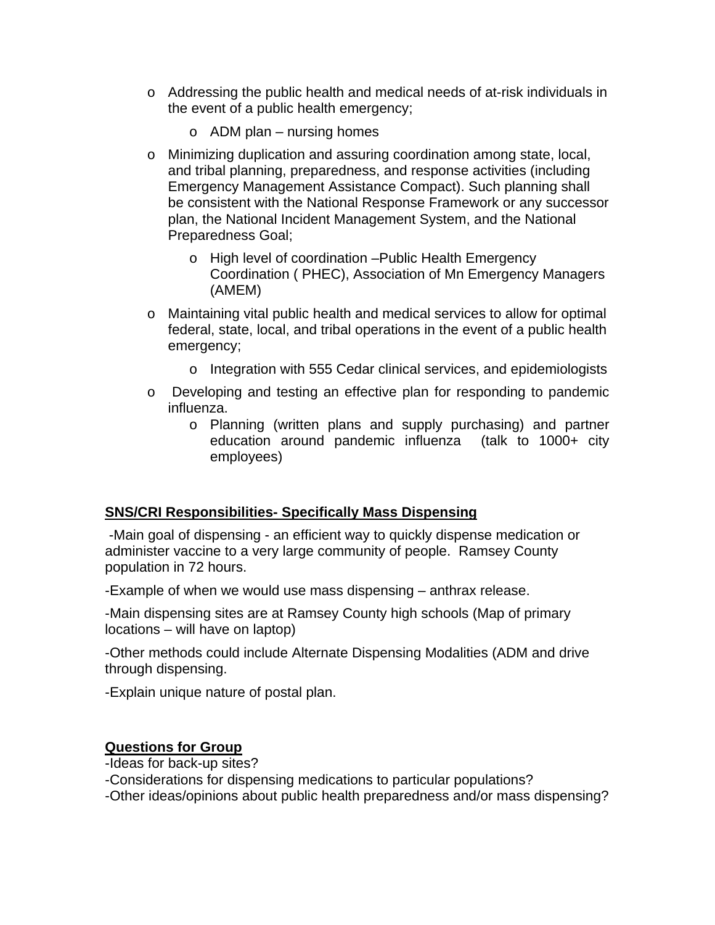- o Addressing the public health and medical needs of at-risk individuals in the event of a public health emergency;
	- $\circ$  ADM plan nursing homes
- o Minimizing duplication and assuring coordination among state, local, and tribal planning, preparedness, and response activities (including Emergency Management Assistance Compact). Such planning shall be consistent with the National Response Framework or any successor plan, the National Incident Management System, and the National Preparedness Goal;
	- o High level of coordination –Public Health Emergency Coordination ( PHEC), Association of Mn Emergency Managers (AMEM)
- o Maintaining vital public health and medical services to allow for optimal federal, state, local, and tribal operations in the event of a public health emergency;
	- o Integration with 555 Cedar clinical services, and epidemiologists
- o Developing and testing an effective plan for responding to pandemic influenza.
	- o Planning (written plans and supply purchasing) and partner education around pandemic influenza (talk to 1000+ city employees)

### **SNS/CRI Responsibilities- Specifically Mass Dispensing**

 -Main goal of dispensing - an efficient way to quickly dispense medication or administer vaccine to a very large community of people. Ramsey County population in 72 hours.

-Example of when we would use mass dispensing – anthrax release.

-Main dispensing sites are at Ramsey County high schools (Map of primary locations – will have on laptop)

-Other methods could include Alternate Dispensing Modalities (ADM and drive through dispensing.

-Explain unique nature of postal plan.

## **Questions for Group**

-Ideas for back-up sites?

-Considerations for dispensing medications to particular populations?

-Other ideas/opinions about public health preparedness and/or mass dispensing?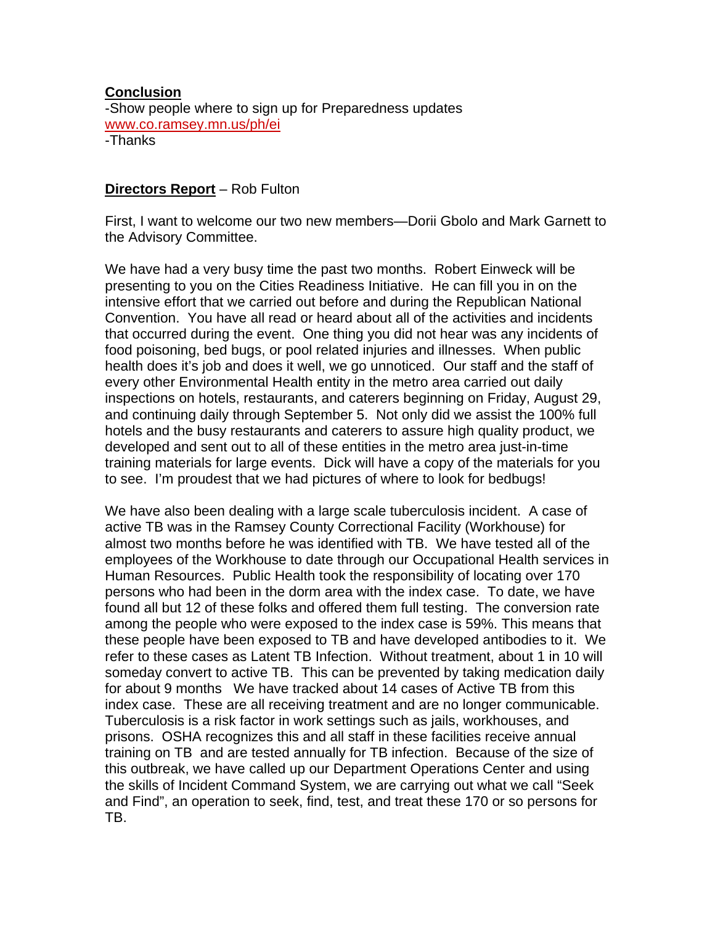#### **Conclusion**

-Show people where to sign up for Preparedness updates [www.co.ramsey.mn.us/ph/ei](http://www.co.ramsey.mn.us/ph/ei) -Thanks

# **Directors Report** – Rob Fulton

First, I want to welcome our two new members—Dorii Gbolo and Mark Garnett to the Advisory Committee.

We have had a very busy time the past two months. Robert Einweck will be presenting to you on the Cities Readiness Initiative. He can fill you in on the intensive effort that we carried out before and during the Republican National Convention. You have all read or heard about all of the activities and incidents that occurred during the event. One thing you did not hear was any incidents of food poisoning, bed bugs, or pool related injuries and illnesses. When public health does it's job and does it well, we go unnoticed. Our staff and the staff of every other Environmental Health entity in the metro area carried out daily inspections on hotels, restaurants, and caterers beginning on Friday, August 29, and continuing daily through September 5. Not only did we assist the 100% full hotels and the busy restaurants and caterers to assure high quality product, we developed and sent out to all of these entities in the metro area just-in-time training materials for large events. Dick will have a copy of the materials for you to see. I'm proudest that we had pictures of where to look for bedbugs!

We have also been dealing with a large scale tuberculosis incident. A case of active TB was in the Ramsey County Correctional Facility (Workhouse) for almost two months before he was identified with TB. We have tested all of the employees of the Workhouse to date through our Occupational Health services in Human Resources. Public Health took the responsibility of locating over 170 persons who had been in the dorm area with the index case. To date, we have found all but 12 of these folks and offered them full testing. The conversion rate among the people who were exposed to the index case is 59%. This means that these people have been exposed to TB and have developed antibodies to it. We refer to these cases as Latent TB Infection. Without treatment, about 1 in 10 will someday convert to active TB. This can be prevented by taking medication daily for about 9 months We have tracked about 14 cases of Active TB from this index case. These are all receiving treatment and are no longer communicable. Tuberculosis is a risk factor in work settings such as jails, workhouses, and prisons. OSHA recognizes this and all staff in these facilities receive annual training on TB and are tested annually for TB infection. Because of the size of this outbreak, we have called up our Department Operations Center and using the skills of Incident Command System, we are carrying out what we call "Seek and Find", an operation to seek, find, test, and treat these 170 or so persons for TB.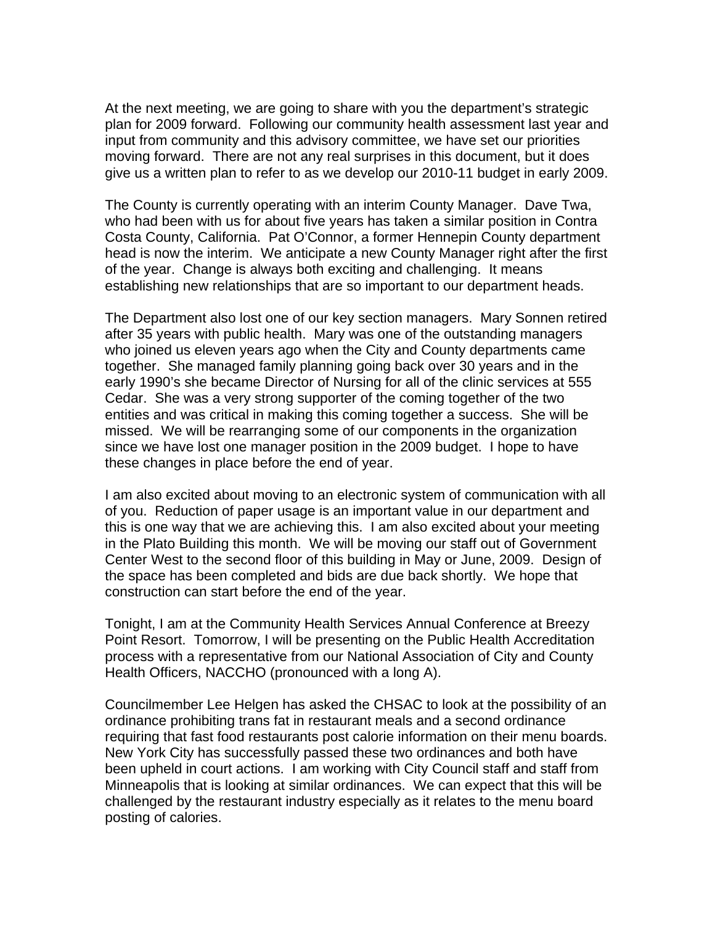At the next meeting, we are going to share with you the department's strategic plan for 2009 forward. Following our community health assessment last year and input from community and this advisory committee, we have set our priorities moving forward. There are not any real surprises in this document, but it does give us a written plan to refer to as we develop our 2010-11 budget in early 2009.

The County is currently operating with an interim County Manager. Dave Twa, who had been with us for about five years has taken a similar position in Contra Costa County, California. Pat O'Connor, a former Hennepin County department head is now the interim. We anticipate a new County Manager right after the first of the year. Change is always both exciting and challenging. It means establishing new relationships that are so important to our department heads.

The Department also lost one of our key section managers. Mary Sonnen retired after 35 years with public health. Mary was one of the outstanding managers who joined us eleven years ago when the City and County departments came together. She managed family planning going back over 30 years and in the early 1990's she became Director of Nursing for all of the clinic services at 555 Cedar. She was a very strong supporter of the coming together of the two entities and was critical in making this coming together a success. She will be missed. We will be rearranging some of our components in the organization since we have lost one manager position in the 2009 budget. I hope to have these changes in place before the end of year.

I am also excited about moving to an electronic system of communication with all of you. Reduction of paper usage is an important value in our department and this is one way that we are achieving this. I am also excited about your meeting in the Plato Building this month. We will be moving our staff out of Government Center West to the second floor of this building in May or June, 2009. Design of the space has been completed and bids are due back shortly. We hope that construction can start before the end of the year.

Tonight, I am at the Community Health Services Annual Conference at Breezy Point Resort. Tomorrow, I will be presenting on the Public Health Accreditation process with a representative from our National Association of City and County Health Officers, NACCHO (pronounced with a long A).

Councilmember Lee Helgen has asked the CHSAC to look at the possibility of an ordinance prohibiting trans fat in restaurant meals and a second ordinance requiring that fast food restaurants post calorie information on their menu boards. New York City has successfully passed these two ordinances and both have been upheld in court actions. I am working with City Council staff and staff from Minneapolis that is looking at similar ordinances. We can expect that this will be challenged by the restaurant industry especially as it relates to the menu board posting of calories.